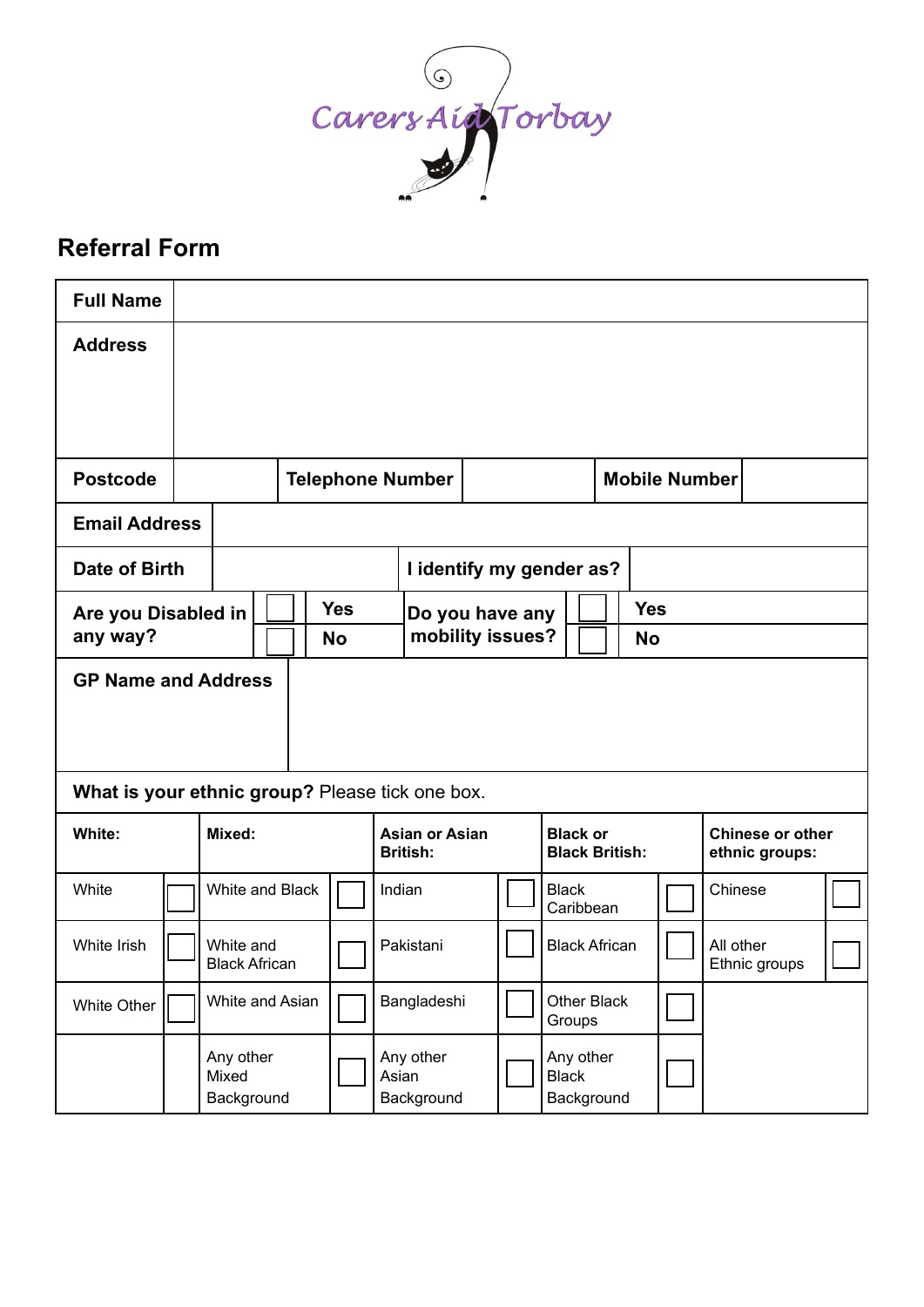

# **Referral Form**

| <b>Full Name</b>                                |  |                                  |                                   |                 |           |                                          |                          |                  |                                         |                       |                           |                       |            |         |                                    |               |  |
|-------------------------------------------------|--|----------------------------------|-----------------------------------|-----------------|-----------|------------------------------------------|--------------------------|------------------|-----------------------------------------|-----------------------|---------------------------|-----------------------|------------|---------|------------------------------------|---------------|--|
| <b>Address</b>                                  |  |                                  |                                   |                 |           |                                          |                          |                  |                                         |                       |                           |                       |            |         |                                    |               |  |
|                                                 |  |                                  |                                   |                 |           |                                          |                          |                  |                                         |                       |                           |                       |            |         |                                    |               |  |
|                                                 |  |                                  |                                   |                 |           |                                          |                          |                  |                                         |                       |                           |                       |            |         |                                    |               |  |
| <b>Postcode</b>                                 |  |                                  | <b>Telephone Number</b>           |                 |           |                                          |                          |                  |                                         |                       |                           | <b>Mobile Number</b>  |            |         |                                    |               |  |
| <b>Email Address</b>                            |  |                                  |                                   |                 |           |                                          |                          |                  |                                         |                       |                           |                       |            |         |                                    |               |  |
| Date of Birth                                   |  |                                  |                                   |                 |           |                                          | I identify my gender as? |                  |                                         |                       |                           |                       |            |         |                                    |               |  |
| Are you Disabled in                             |  |                                  |                                   | <b>Yes</b>      |           |                                          | Do you have any          |                  |                                         |                       |                           |                       | <b>Yes</b> |         |                                    |               |  |
| any way?                                        |  |                                  |                                   |                 | <b>No</b> |                                          |                          | mobility issues? |                                         |                       | No                        |                       |            |         |                                    |               |  |
| <b>GP Name and Address</b>                      |  |                                  |                                   |                 |           |                                          |                          |                  |                                         |                       |                           |                       |            |         |                                    |               |  |
| What is your ethnic group? Please tick one box. |  |                                  |                                   |                 |           |                                          |                          |                  |                                         |                       |                           |                       |            |         |                                    |               |  |
| White:                                          |  | Mixed:                           |                                   |                 |           | <b>Asian or Asian</b><br><b>British:</b> |                          |                  | <b>Black or</b>                         |                       |                           | <b>Black British:</b> |            |         | Chinese or other<br>ethnic groups: |               |  |
| White                                           |  |                                  |                                   | White and Black |           |                                          | Indian                   |                  |                                         |                       | <b>Black</b><br>Caribbean |                       |            | Chinese |                                    |               |  |
| White Irish                                     |  |                                  | White and<br><b>Black African</b> |                 |           |                                          | Pakistani                |                  |                                         | <b>Black African</b>  |                           |                       |            |         | All other                          | Ethnic groups |  |
| White Other                                     |  | White and Asian                  |                                   |                 |           |                                          | Bangladeshi              |                  |                                         | Other Black<br>Groups |                           |                       |            |         |                                    |               |  |
|                                                 |  | Any other<br>Mixed<br>Background |                                   |                 | Asian     | Any other<br>Background                  |                          |                  | Any other<br><b>Black</b><br>Background |                       |                           |                       |            |         |                                    |               |  |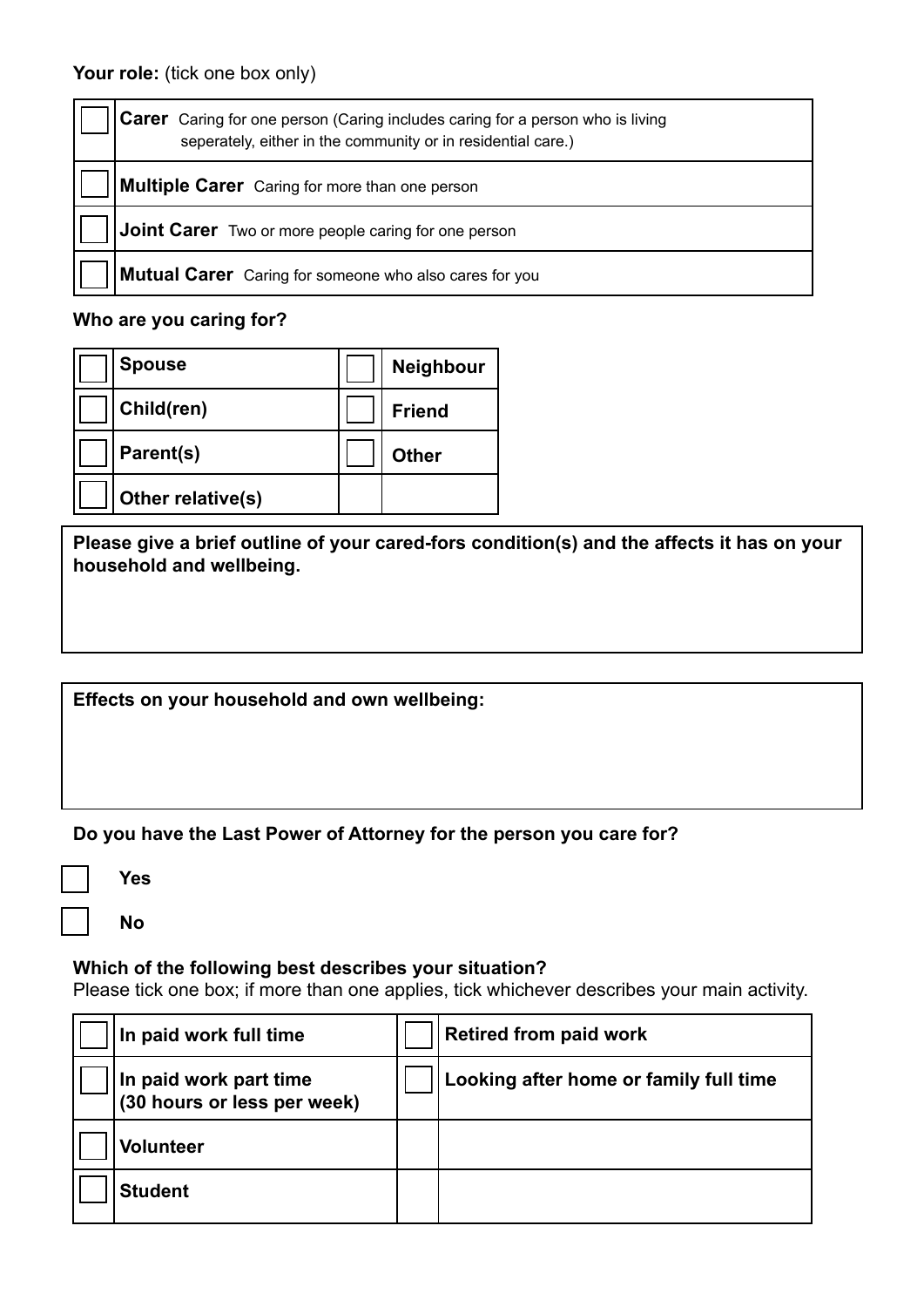| <b>Carer</b> Caring for one person (Caring includes caring for a person who is living<br>seperately, either in the community or in residential care.) |  |  |  |  |  |  |
|-------------------------------------------------------------------------------------------------------------------------------------------------------|--|--|--|--|--|--|
| <b>Multiple Carer</b> Caring for more than one person                                                                                                 |  |  |  |  |  |  |
| Joint Carer Two or more people caring for one person                                                                                                  |  |  |  |  |  |  |
| <b>Mutual Carer</b> Caring for someone who also cares for you                                                                                         |  |  |  |  |  |  |

# **Who are you caring for?**

| <b>Spouse</b>     | <b>Neighbour</b> |
|-------------------|------------------|
| Child(ren)        | <b>Friend</b>    |
| Parent(s)         | <b>Other</b>     |
| Other relative(s) |                  |

**Please give a brief outline of your cared-fors condition(s) and the affects it has on your household and wellbeing.**

**Effects on your household and own wellbeing:**

**Do you have the Last Power of Attorney for the person you care for?**

 **Yes**

 $\overline{a}$ 

 **No**

# **Which of the following best describes your situation?**

Please tick one box; if more than one applies, tick whichever describes your main activity.

| In paid work full time                                | <b>Retired from paid work</b>          |
|-------------------------------------------------------|----------------------------------------|
| In paid work part time<br>(30 hours or less per week) | Looking after home or family full time |
| <b>Volunteer</b>                                      |                                        |
| <b>Student</b>                                        |                                        |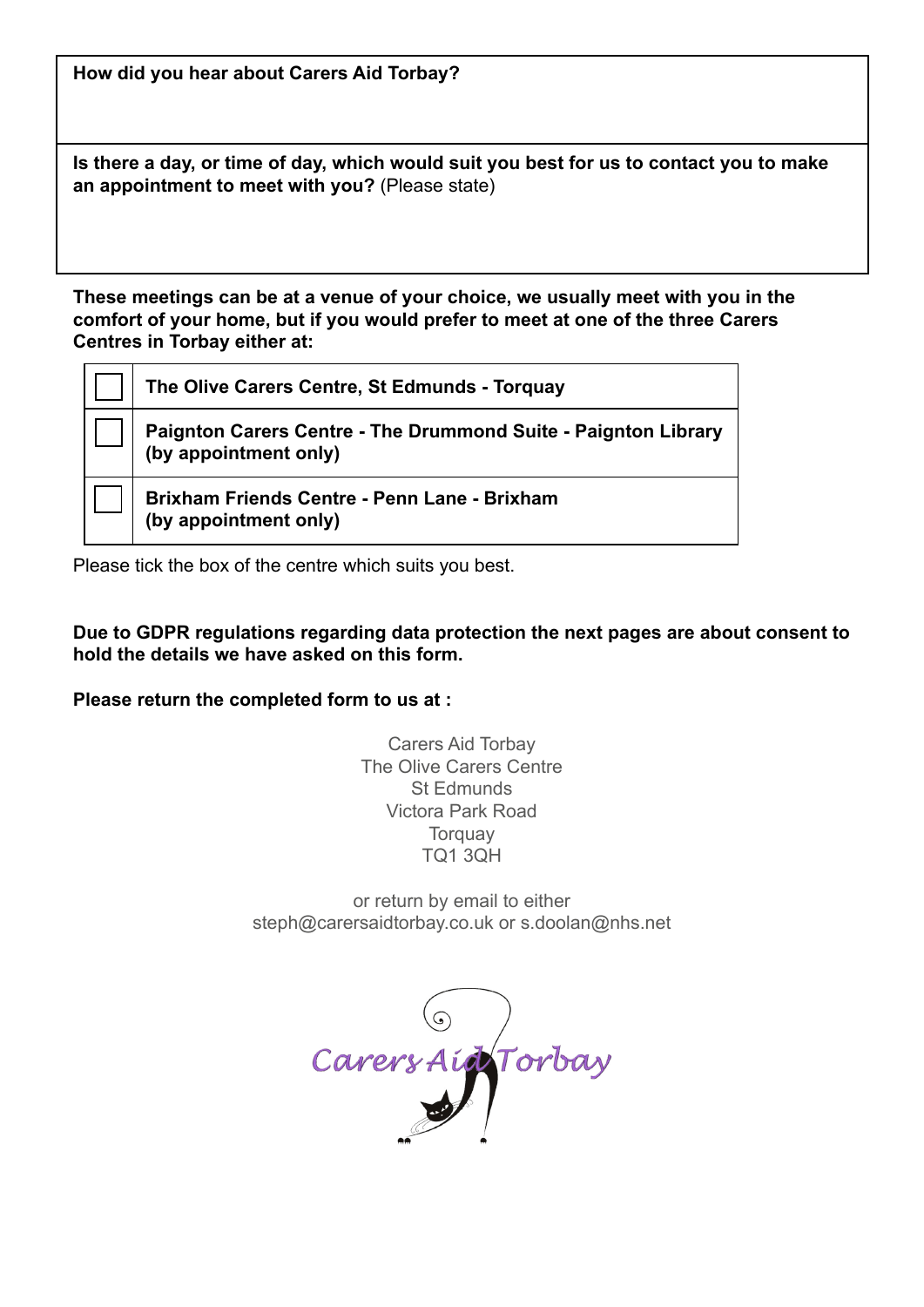**How did you hear about Carers Aid Torbay?**

**Is there a day, or time of day, which would suit you best for us to contact you to make an appointment to meet with you?** (Please state)

**These meetings can be at a venue of your choice, we usually meet with you in the comfort of your home, but if you would prefer to meet at one of the three Carers Centres in Torbay either at:**

| The Olive Carers Centre, St Edmunds - Torquay                                           |
|-----------------------------------------------------------------------------------------|
| Paignton Carers Centre - The Drummond Suite - Paignton Library<br>(by appointment only) |
| <b>Brixham Friends Centre - Penn Lane - Brixham</b><br>(by appointment only)            |

Please tick the box of the centre which suits you best.

**Due to GDPR regulations regarding data protection the next pages are about consent to hold the details we have asked on this form.**

**Please return the completed form to us at :**

Carers Aid Torbay The Olive Carers Centre St Edmunds Victora Park Road **Torquay** TQ1 3QH

or return by email to either steph@carersaidtorbay.co.uk or s.doolan@nhs.net

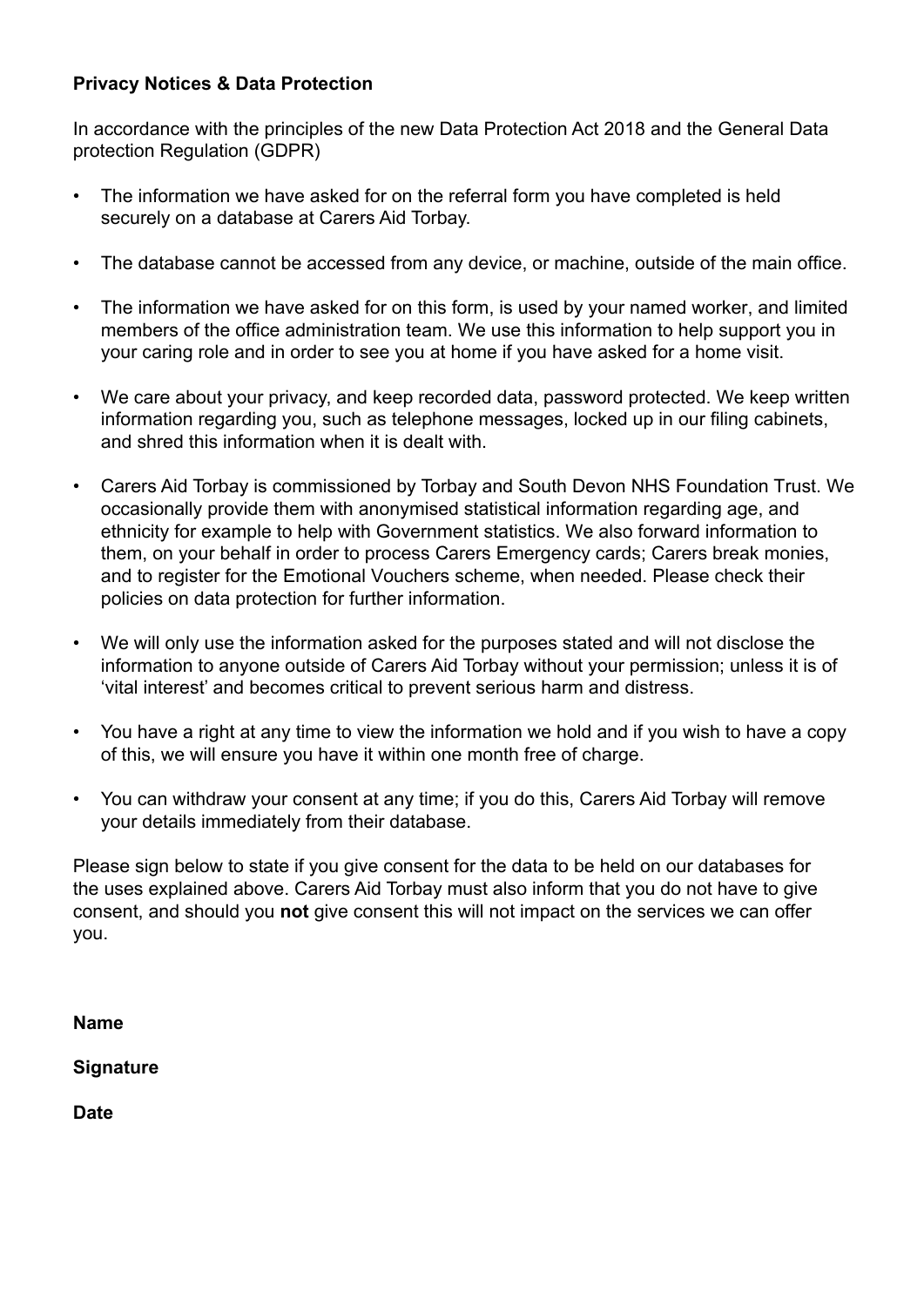# **Privacy Notices & Data Protection**

In accordance with the principles of the new Data Protection Act 2018 and the General Data protection Regulation (GDPR)

- The information we have asked for on the referral form you have completed is held securely on a database at Carers Aid Torbay.
- The database cannot be accessed from any device, or machine, outside of the main office.
- The information we have asked for on this form, is used by your named worker, and limited members of the office administration team. We use this information to help support you in your caring role and in order to see you at home if you have asked for a home visit.
- We care about your privacy, and keep recorded data, password protected. We keep written information regarding you, such as telephone messages, locked up in our filing cabinets, and shred this information when it is dealt with.
- Carers Aid Torbay is commissioned by Torbay and South Devon NHS Foundation Trust. We occasionally provide them with anonymised statistical information regarding age, and ethnicity for example to help with Government statistics. We also forward information to them, on your behalf in order to process Carers Emergency cards; Carers break monies, and to register for the Emotional Vouchers scheme, when needed. Please check their policies on data protection for further information.
- We will only use the information asked for the purposes stated and will not disclose the information to anyone outside of Carers Aid Torbay without your permission; unless it is of 'vital interest' and becomes critical to prevent serious harm and distress.
- You have a right at any time to view the information we hold and if you wish to have a copy of this, we will ensure you have it within one month free of charge.
- You can withdraw your consent at any time; if you do this, Carers Aid Torbay will remove your details immediately from their database.

Please sign below to state if you give consent for the data to be held on our databases for the uses explained above. Carers Aid Torbay must also inform that you do not have to give consent, and should you **not** give consent this will not impact on the services we can offer you.

**Name**

**Signature**

**Date**